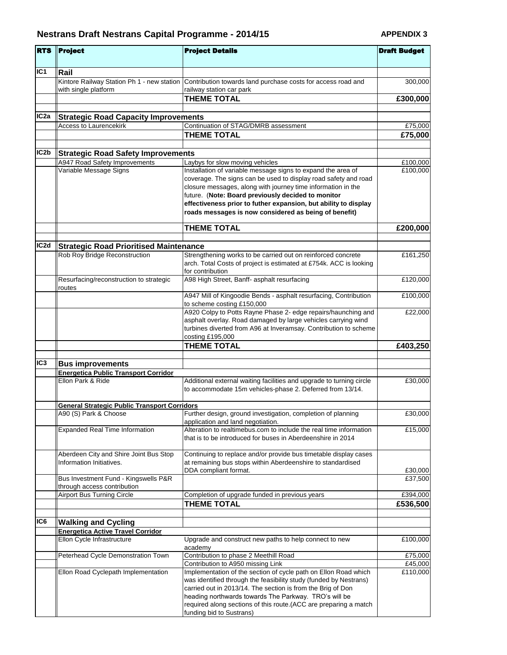| <b>RTS</b>                                                                | <b>Project</b>                                                      | <b>Project Details</b>                                                                                                                                                                                                                                                                                                                                                            | <b>Draft Budget</b> |
|---------------------------------------------------------------------------|---------------------------------------------------------------------|-----------------------------------------------------------------------------------------------------------------------------------------------------------------------------------------------------------------------------------------------------------------------------------------------------------------------------------------------------------------------------------|---------------------|
|                                                                           | Rail                                                                |                                                                                                                                                                                                                                                                                                                                                                                   |                     |
|                                                                           | Kintore Railway Station Ph 1 - new station<br>with single platform  | Contribution towards land purchase costs for access road and<br>railway station car park                                                                                                                                                                                                                                                                                          | 300,000             |
|                                                                           |                                                                     | <b>THEME TOTAL</b>                                                                                                                                                                                                                                                                                                                                                                | £300,000            |
| IC <sub>2a</sub>                                                          | <b>Strategic Road Capacity Improvements</b>                         |                                                                                                                                                                                                                                                                                                                                                                                   |                     |
|                                                                           | <b>Access to Laurencekirk</b>                                       | Continuation of STAG/DMRB assessment                                                                                                                                                                                                                                                                                                                                              | £75,000             |
|                                                                           |                                                                     | <b>THEME TOTAL</b>                                                                                                                                                                                                                                                                                                                                                                | £75,000             |
| IC <sub>2</sub> b                                                         | <b>Strategic Road Safety Improvements</b>                           |                                                                                                                                                                                                                                                                                                                                                                                   |                     |
|                                                                           | A947 Road Safety Improvements                                       | Laybys for slow moving vehicles                                                                                                                                                                                                                                                                                                                                                   | £100,000            |
|                                                                           | Variable Message Signs                                              | Installation of variable message signs to expand the area of<br>coverage. The signs can be used to display road safety and road<br>closure messages, along with journey time information in the<br>future. (Note: Board previously decided to monitor<br>effectiveness prior to futher expansion, but ability to display<br>roads messages is now considered as being of benefit) | £100,000            |
|                                                                           |                                                                     | <b>THEME TOTAL</b>                                                                                                                                                                                                                                                                                                                                                                | £200,000            |
|                                                                           |                                                                     |                                                                                                                                                                                                                                                                                                                                                                                   |                     |
| IC <sub>1</sub><br>IC <sub>2d</sub><br>IC <sub>3</sub><br>IC <sub>6</sub> | <b>Strategic Road Prioritised Maintenance</b>                       |                                                                                                                                                                                                                                                                                                                                                                                   |                     |
|                                                                           | Rob Roy Bridge Reconstruction                                       | Strengthening works to be carried out on reinforced concrete<br>arch. Total Costs of project is estimated at £754k. ACC is looking<br>for contribution                                                                                                                                                                                                                            | £161,250            |
|                                                                           | Resurfacing/reconstruction to strategic<br>routes                   | A98 High Street, Banff- asphalt resurfacing                                                                                                                                                                                                                                                                                                                                       | £120,000            |
|                                                                           |                                                                     | A947 Mill of Kingoodie Bends - asphalt resurfacing, Contribution<br>to scheme costing £150,000                                                                                                                                                                                                                                                                                    | £100,000            |
|                                                                           |                                                                     | A920 Colpy to Potts Rayne Phase 2- edge repairs/haunching and<br>asphalt overlay. Road damaged by large vehicles carrying wind<br>turbines diverted from A96 at Inveramsay. Contribution to scheme<br>costing £195,000                                                                                                                                                            | £22,000             |
|                                                                           |                                                                     | <b>THEME TOTAL</b>                                                                                                                                                                                                                                                                                                                                                                | £403,250            |
|                                                                           |                                                                     |                                                                                                                                                                                                                                                                                                                                                                                   |                     |
|                                                                           | <b>Bus improvements</b>                                             |                                                                                                                                                                                                                                                                                                                                                                                   |                     |
|                                                                           | <b>Energetica Public Transport Corridor</b>                         |                                                                                                                                                                                                                                                                                                                                                                                   |                     |
|                                                                           | Ellon Park & Ride                                                   | Additional external waiting facilities and upgrade to turning circle<br>to accommodate 15m vehicles-phase 2. Deferred from 13/14.                                                                                                                                                                                                                                                 | £30,000             |
|                                                                           | <b>General Strategic Public Transport Corridors</b>                 |                                                                                                                                                                                                                                                                                                                                                                                   |                     |
|                                                                           | A90 (S) Park & Choose                                               | Further design, ground investigation, completion of planning<br>application and land negotiation.                                                                                                                                                                                                                                                                                 | £30,000             |
|                                                                           | <b>Expanded Real Time Information</b>                               | Alteration to realtimebus.com to include the real time information<br>that is to be introduced for buses in Aberdeenshire in 2014                                                                                                                                                                                                                                                 | £15,000             |
|                                                                           | Aberdeen City and Shire Joint Bus Stop<br>Information Initiatives.  | Continuing to replace and/or provide bus timetable display cases<br>at remaining bus stops within Aberdeenshire to standardised                                                                                                                                                                                                                                                   |                     |
|                                                                           |                                                                     | DDA compliant format.                                                                                                                                                                                                                                                                                                                                                             | £30,000             |
|                                                                           | Bus Investment Fund - Kingswells P&R<br>through access contribution |                                                                                                                                                                                                                                                                                                                                                                                   | £37,500             |
|                                                                           | <b>Airport Bus Turning Circle</b>                                   | Completion of upgrade funded in previous years                                                                                                                                                                                                                                                                                                                                    | £394,000            |
|                                                                           |                                                                     | <b>THEME TOTAL</b>                                                                                                                                                                                                                                                                                                                                                                | £536,500            |
|                                                                           | <b>Walking and Cycling</b>                                          |                                                                                                                                                                                                                                                                                                                                                                                   |                     |
|                                                                           | <b>Energetica Active Travel Corridor</b>                            |                                                                                                                                                                                                                                                                                                                                                                                   |                     |
|                                                                           | Ellon Cycle Infrastructure                                          | Upgrade and construct new paths to help connect to new<br>academy                                                                                                                                                                                                                                                                                                                 | £100,000            |
|                                                                           | Peterhead Cycle Demonstration Town                                  | Contribution to phase 2 Meethill Road<br>Contribution to A950 missing Link                                                                                                                                                                                                                                                                                                        | £75,000<br>£45,000  |
|                                                                           | Ellon Road Cyclepath Implementation                                 | Implementation of the section of cycle path on Ellon Road which<br>was identified through the feasibility study (funded by Nestrans)<br>carried out in 2013/14. The section is from the Brig of Don<br>heading northwards towards The Parkway. TRO's will be<br>required along sections of this route.(ACC are preparing a match                                                  | £110,000            |
|                                                                           |                                                                     | funding bid to Sustrans)                                                                                                                                                                                                                                                                                                                                                          |                     |